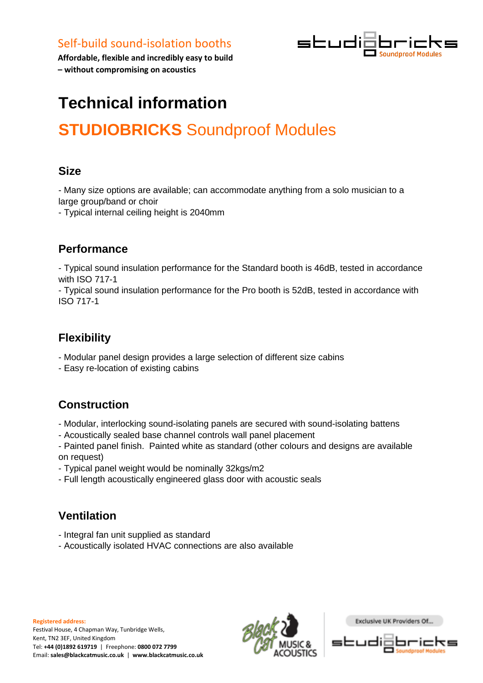

**Affordable, flexible and incredibly easy to build – without compromising on acoustics**

# **Technical information**

# **STUDIOBRICKS** Soundproof Modules

#### **Size**

- Many size options are available; can accommodate anything from a solo musician to a large group/band or choir

- Typical internal ceiling height is 2040mm

#### **Performance**

- Typical sound insulation performance for the Standard booth is 46dB, tested in accordance with ISO 717-1

- Typical sound insulation performance for the Pro booth is 52dB, tested in accordance with ISO 717-1

## **Flexibility**

- Modular panel design provides a large selection of different size cabins
- Easy re-location of existing cabins

## **Construction**

- Modular, interlocking sound-isolating panels are secured with sound-isolating battens
- Acoustically sealed base channel controls wall panel placement
- Painted panel finish. Painted white as standard (other colours and designs are available on request)
- Typical panel weight would be nominally 32kgs/m2
- Full length acoustically engineered glass door with acoustic seals

## **Ventilation**

- Integral fan unit supplied as standard
- Acoustically isolated HVAC connections are also available



Exclusive UK Providers Of..